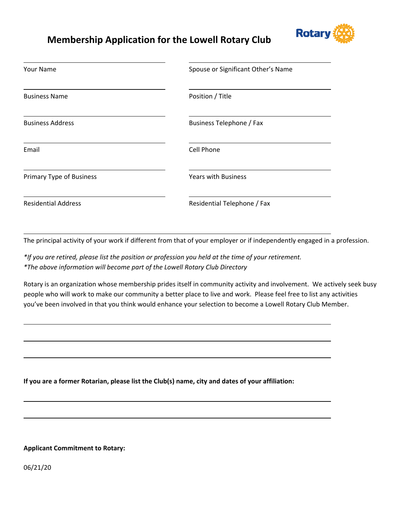# **Membership Application for the Lowell Rotary Club**



| Your Name                  | Spouse or Significant Other's Name |  |
|----------------------------|------------------------------------|--|
| <b>Business Name</b>       | Position / Title                   |  |
| <b>Business Address</b>    | Business Telephone / Fax           |  |
| Email                      | <b>Cell Phone</b>                  |  |
| Primary Type of Business   | <b>Years with Business</b>         |  |
| <b>Residential Address</b> | Residential Telephone / Fax        |  |

<u> 2008 - Andrea Branden, amerikan basar personal dan berasal dalam pengaran basar personal dan personal dan pe</u>

<u> 1989 - Johann Barn, mars et al. (b. 1989)</u>

<u> 1980 - Johann Stoff, die erste besteht der Stoffens und die Stoffens und die Stoffens und die Stoffens und die</u>

<u> 2008 - Andrea Branden, amerikan basar personal dan berasal dalam pengaran basar personal dan personal dan pe</u>

<u> 1989 - Johann Stoff, deutscher Stoffen und der Stoffen und der Stoffen und der Stoffen und der Stoffen und d</u>

The principal activity of your work if different from that of your employer or if independently engaged in a profession.

\*If you are retired, please list the position or profession you held at the time of your retirement. *\*The above information will become part of the Lowell Rotary Club Directory*

Rotary is an organization whose membership prides itself in community activity and involvement. We actively seek busy people who will work to make our community a better place to live and work. Please feel free to list any activities you've been involved in that you think would enhance your selection to become a Lowell Rotary Club Member.

**If you are a former Rotarian, please list the Club(s) name, city and dates of your affiliation:**

#### **Applicant Commitment to Rotary:**

06/21/20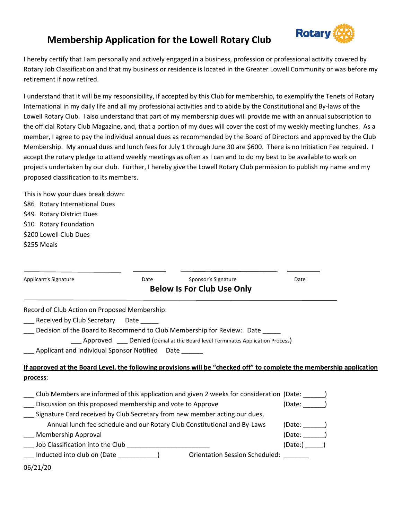

## **Membership Application for the Lowell Rotary Club**

I hereby certify that I am personally and actively engaged in a business, profession or professional activity covered by Rotary Job Classification and that my business or residence is located in the Greater Lowell Community or was before my retirement if now retired.

I understand that it will be my responsibility, if accepted by this Club for membership, to exemplify the Tenets of Rotary International in my daily life and all my professional activities and to abide by the Constitutional and By-laws of the Lowell Rotary Club. I also understand that part of my membership dues will provide me with an annual subscription to the official Rotary Club Magazine, and, that a portion of my dues will cover the cost of my weekly meeting lunches. As a member, I agree to pay the individual annual dues as recommended by the Board of Directors and approved by the Club Membership. My annual dues and lunch fees for July 1 through June 30 are \$600. There is no Initiation Fee required. I accept the rotary pledge to attend weekly meetings as often as I can and to do my best to be available to work on projects undertaken by our club. Further, I hereby give the Lowell Rotary Club permission to publish my name and my proposed classification to its members.

This is how your dues break down: \$86 Rotary International Dues \$49 Rotary District Dues \$10 Rotary Foundation \$200 Lowell Club Dues \$255 Meals

| Applicant's Signature                                      | Date | Sponsor's Signature                                                                                                   | Date     |
|------------------------------------------------------------|------|-----------------------------------------------------------------------------------------------------------------------|----------|
|                                                            |      | <b>Below Is For Club Use Only</b>                                                                                     |          |
| Record of Club Action on Proposed Membership:              |      |                                                                                                                       |          |
| Received by Club Secretary Date                            |      |                                                                                                                       |          |
|                                                            |      | Decision of the Board to Recommend to Club Membership for Review: Date                                                |          |
|                                                            |      | ___ Approved ___ Denied (Denial at the Board level Terminates Application Process)                                    |          |
| Applicant and Individual Sponsor Notified Date             |      |                                                                                                                       |          |
|                                                            |      | If approved at the Board Level, the following provisions will be "checked off" to complete the membership application |          |
| process:                                                   |      |                                                                                                                       |          |
|                                                            |      | Club Members are informed of this application and given 2 weeks for consideration (Date: ______)                      |          |
| Discussion on this proposed membership and vote to Approve |      |                                                                                                                       | (Date: ) |
|                                                            |      | Signature Card received by Club Secretary from new member acting our dues,                                            |          |
|                                                            |      | Annual lunch fee schedule and our Rotary Club Constitutional and By-Laws                                              | (Date:   |
| Membership Approval                                        |      |                                                                                                                       | (Date: ) |
|                                                            |      |                                                                                                                       | (Date: ) |
|                                                            |      | Orientation Session Scheduled:                                                                                        |          |
| 06/21/20                                                   |      |                                                                                                                       |          |